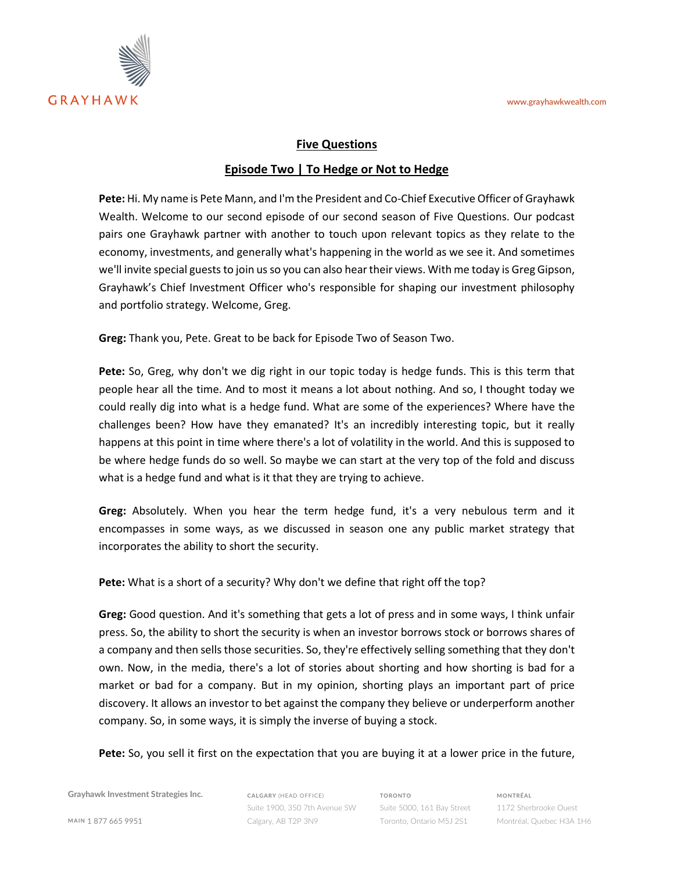

## **Five Questions**

## **Episode Two | To Hedge or Not to Hedge**

**Pete:** Hi. My name is Pete Mann, and I'm the President and Co-Chief Executive Officer of Grayhawk Wealth. Welcome to our second episode of our second season of Five Questions. Our podcast pairs one Grayhawk partner with another to touch upon relevant topics as they relate to the economy, investments, and generally what's happening in the world as we see it. And sometimes we'll invite special guests to join us so you can also hear their views. With me today is Greg Gipson, Grayhawk's Chief Investment Officer who's responsible for shaping our investment philosophy and portfolio strategy. Welcome, Greg.

**Greg:** Thank you, Pete. Great to be back for Episode Two of Season Two.

**Pete:** So, Greg, why don't we dig right in our topic today is hedge funds. This is this term that people hear all the time. And to most it means a lot about nothing. And so, I thought today we could really dig into what is a hedge fund. What are some of the experiences? Where have the challenges been? How have they emanated? It's an incredibly interesting topic, but it really happens at this point in time where there's a lot of volatility in the world. And this is supposed to be where hedge funds do so well. So maybe we can start at the very top of the fold and discuss what is a hedge fund and what is it that they are trying to achieve.

**Greg:** Absolutely. When you hear the term hedge fund, it's a very nebulous term and it encompasses in some ways, as we discussed in season one any public market strategy that incorporates the ability to short the security.

**Pete:** What is a short of a security? Why don't we define that right off the top?

**Greg:** Good question. And it's something that gets a lot of press and in some ways, I think unfair press. So, the ability to short the security is when an investor borrows stock or borrows shares of a company and then sells those securities. So, they're effectively selling something that they don't own. Now, in the media, there's a lot of stories about shorting and how shorting is bad for a market or bad for a company. But in my opinion, shorting plays an important part of price discovery. It allows an investor to bet against the company they believe or underperform another company. So, in some ways, it is simply the inverse of buying a stock.

**Pete:** So, you sell it first on the expectation that you are buying it at a lower price in the future,

**Grayhawk Investment Strategies Inc.**

**CALGARY** (HEAD OFFICE) Suite 1900, 350 7th Avenue SW Calgary, AB T2P 3N9

**TORONTO** Suite 5000, 161 Bay Street Toronto, Ontario M5J 2S1

**MONTRÉAL** 1172 Sherbrooke Ouest Montréal, Quebec H3A 1H6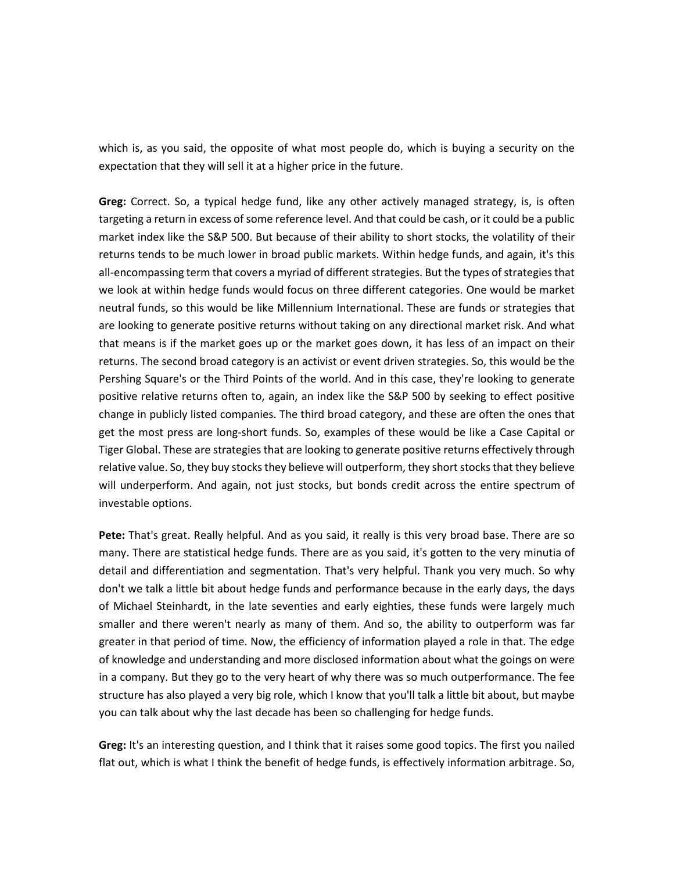which is, as you said, the opposite of what most people do, which is buying a security on the expectation that they will sell it at a higher price in the future.

**Greg:** Correct. So, a typical hedge fund, like any other actively managed strategy, is, is often targeting a return in excess of some reference level. And that could be cash, or it could be a public market index like the S&P 500. But because of their ability to short stocks, the volatility of their returns tends to be much lower in broad public markets. Within hedge funds, and again, it's this all-encompassing term that covers a myriad of different strategies. But the types of strategies that we look at within hedge funds would focus on three different categories. One would be market neutral funds, so this would be like Millennium International. These are funds or strategies that are looking to generate positive returns without taking on any directional market risk. And what that means is if the market goes up or the market goes down, it has less of an impact on their returns. The second broad category is an activist or event driven strategies. So, this would be the Pershing Square's or the Third Points of the world. And in this case, they're looking to generate positive relative returns often to, again, an index like the S&P 500 by seeking to effect positive change in publicly listed companies. The third broad category, and these are often the ones that get the most press are long-short funds. So, examples of these would be like a Case Capital or Tiger Global. These are strategies that are looking to generate positive returns effectively through relative value. So, they buy stocks they believe will outperform, they short stocks that they believe will underperform. And again, not just stocks, but bonds credit across the entire spectrum of investable options.

**Pete:** That's great. Really helpful. And as you said, it really is this very broad base. There are so many. There are statistical hedge funds. There are as you said, it's gotten to the very minutia of detail and differentiation and segmentation. That's very helpful. Thank you very much. So why don't we talk a little bit about hedge funds and performance because in the early days, the days of Michael Steinhardt, in the late seventies and early eighties, these funds were largely much smaller and there weren't nearly as many of them. And so, the ability to outperform was far greater in that period of time. Now, the efficiency of information played a role in that. The edge of knowledge and understanding and more disclosed information about what the goings on were in a company. But they go to the very heart of why there was so much outperformance. The fee structure has also played a very big role, which I know that you'll talk a little bit about, but maybe you can talk about why the last decade has been so challenging for hedge funds.

**Greg:** It's an interesting question, and I think that it raises some good topics. The first you nailed flat out, which is what I think the benefit of hedge funds, is effectively information arbitrage. So,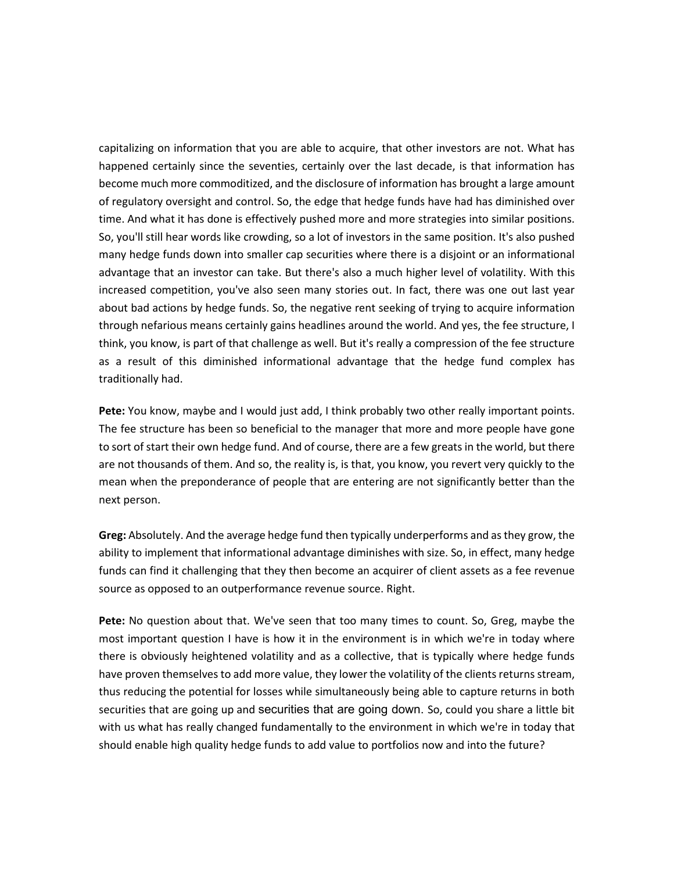capitalizing on information that you are able to acquire, that other investors are not. What has happened certainly since the seventies, certainly over the last decade, is that information has become much more commoditized, and the disclosure of information has brought a large amount of regulatory oversight and control. So, the edge that hedge funds have had has diminished over time. And what it has done is effectively pushed more and more strategies into similar positions. So, you'll still hear words like crowding, so a lot of investors in the same position. It's also pushed many hedge funds down into smaller cap securities where there is a disjoint or an informational advantage that an investor can take. But there's also a much higher level of volatility. With this increased competition, you've also seen many stories out. In fact, there was one out last year about bad actions by hedge funds. So, the negative rent seeking of trying to acquire information through nefarious means certainly gains headlines around the world. And yes, the fee structure, I think, you know, is part of that challenge as well. But it's really a compression of the fee structure as a result of this diminished informational advantage that the hedge fund complex has traditionally had.

**Pete:** You know, maybe and I would just add, I think probably two other really important points. The fee structure has been so beneficial to the manager that more and more people have gone to sort of start their own hedge fund. And of course, there are a few greats in the world, but there are not thousands of them. And so, the reality is, is that, you know, you revert very quickly to the mean when the preponderance of people that are entering are not significantly better than the next person.

**Greg:** Absolutely. And the average hedge fund then typically underperforms and as they grow, the ability to implement that informational advantage diminishes with size. So, in effect, many hedge funds can find it challenging that they then become an acquirer of client assets as a fee revenue source as opposed to an outperformance revenue source. Right.

**Pete:** No question about that. We've seen that too many times to count. So, Greg, maybe the most important question I have is how it in the environment is in which we're in today where there is obviously heightened volatility and as a collective, that is typically where hedge funds have proven themselves to add more value, they lower the volatility of the clients returns stream, thus reducing the potential for losses while simultaneously being able to capture returns in both securities that are going up and securities that are going down. So, could you share a little bit with us what has really changed fundamentally to the environment in which we're in today that should enable high quality hedge funds to add value to portfolios now and into the future?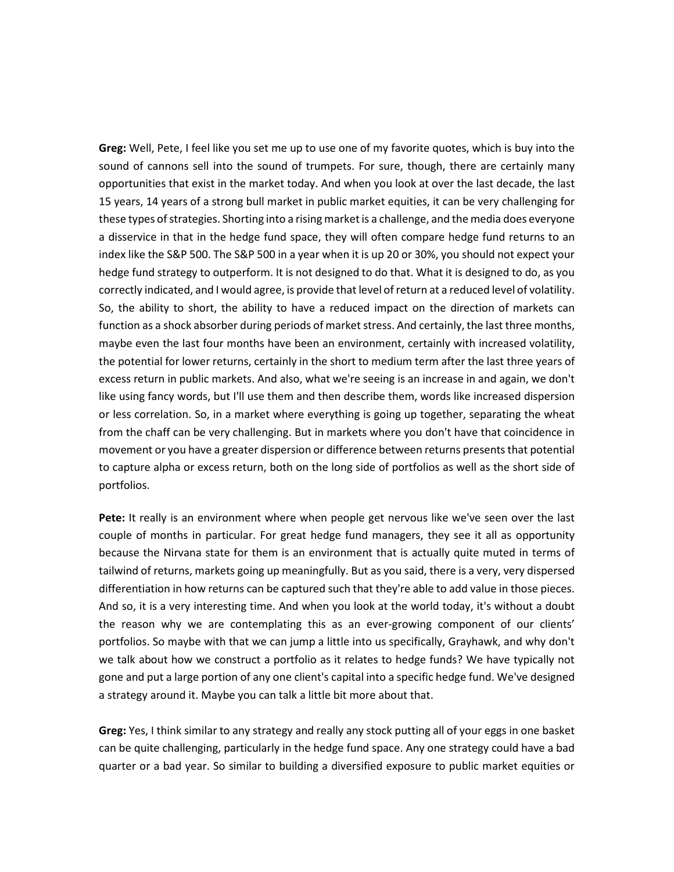**Greg:** Well, Pete, I feel like you set me up to use one of my favorite quotes, which is buy into the sound of cannons sell into the sound of trumpets. For sure, though, there are certainly many opportunities that exist in the market today. And when you look at over the last decade, the last 15 years, 14 years of a strong bull market in public market equities, it can be very challenging for these types of strategies. Shorting into a rising market is a challenge, and the media does everyone a disservice in that in the hedge fund space, they will often compare hedge fund returns to an index like the S&P 500. The S&P 500 in a year when it is up 20 or 30%, you should not expect your hedge fund strategy to outperform. It is not designed to do that. What it is designed to do, as you correctly indicated, and I would agree, is provide that level of return at a reduced level of volatility. So, the ability to short, the ability to have a reduced impact on the direction of markets can function as a shock absorber during periods of market stress. And certainly, the last three months, maybe even the last four months have been an environment, certainly with increased volatility, the potential for lower returns, certainly in the short to medium term after the last three years of excess return in public markets. And also, what we're seeing is an increase in and again, we don't like using fancy words, but I'll use them and then describe them, words like increased dispersion or less correlation. So, in a market where everything is going up together, separating the wheat from the chaff can be very challenging. But in markets where you don't have that coincidence in movement or you have a greater dispersion or difference between returns presents that potential to capture alpha or excess return, both on the long side of portfolios as well as the short side of portfolios.

**Pete:** It really is an environment where when people get nervous like we've seen over the last couple of months in particular. For great hedge fund managers, they see it all as opportunity because the Nirvana state for them is an environment that is actually quite muted in terms of tailwind of returns, markets going up meaningfully. But as you said, there is a very, very dispersed differentiation in how returns can be captured such that they're able to add value in those pieces. And so, it is a very interesting time. And when you look at the world today, it's without a doubt the reason why we are contemplating this as an ever-growing component of our clients' portfolios. So maybe with that we can jump a little into us specifically, Grayhawk, and why don't we talk about how we construct a portfolio as it relates to hedge funds? We have typically not gone and put a large portion of any one client's capital into a specific hedge fund. We've designed a strategy around it. Maybe you can talk a little bit more about that.

**Greg:** Yes, I think similar to any strategy and really any stock putting all of your eggs in one basket can be quite challenging, particularly in the hedge fund space. Any one strategy could have a bad quarter or a bad year. So similar to building a diversified exposure to public market equities or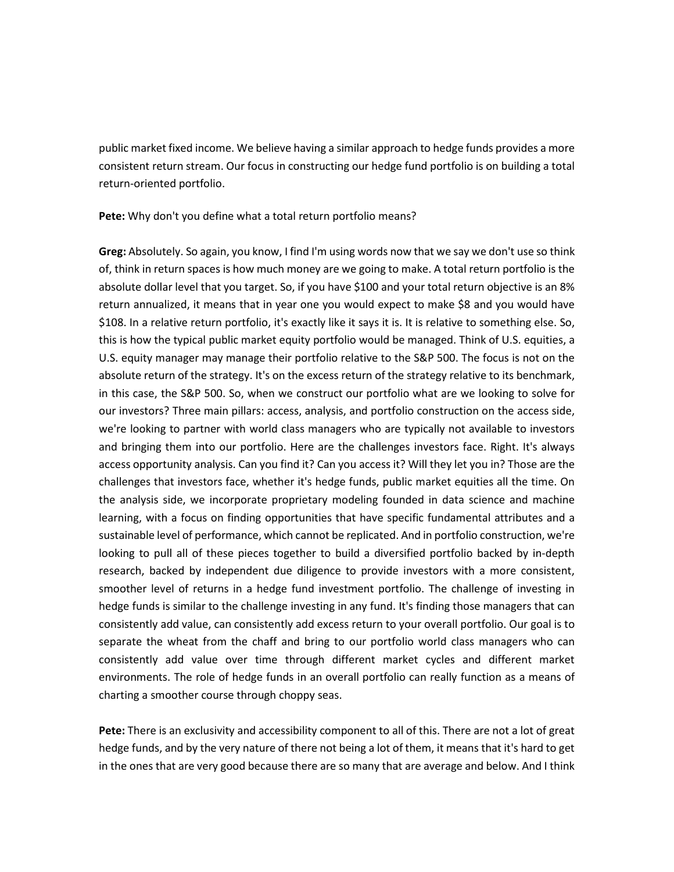public market fixed income. We believe having a similar approach to hedge funds provides a more consistent return stream. Our focus in constructing our hedge fund portfolio is on building a total return-oriented portfolio.

**Pete:** Why don't you define what a total return portfolio means?

**Greg:** Absolutely. So again, you know, I find I'm using words now that we say we don't use so think of, think in return spaces is how much money are we going to make. A total return portfolio is the absolute dollar level that you target. So, if you have \$100 and your total return objective is an 8% return annualized, it means that in year one you would expect to make \$8 and you would have \$108. In a relative return portfolio, it's exactly like it says it is. It is relative to something else. So, this is how the typical public market equity portfolio would be managed. Think of U.S. equities, a U.S. equity manager may manage their portfolio relative to the S&P 500. The focus is not on the absolute return of the strategy. It's on the excess return of the strategy relative to its benchmark, in this case, the S&P 500. So, when we construct our portfolio what are we looking to solve for our investors? Three main pillars: access, analysis, and portfolio construction on the access side, we're looking to partner with world class managers who are typically not available to investors and bringing them into our portfolio. Here are the challenges investors face. Right. It's always access opportunity analysis. Can you find it? Can you access it? Will they let you in? Those are the challenges that investors face, whether it's hedge funds, public market equities all the time. On the analysis side, we incorporate proprietary modeling founded in data science and machine learning, with a focus on finding opportunities that have specific fundamental attributes and a sustainable level of performance, which cannot be replicated. And in portfolio construction, we're looking to pull all of these pieces together to build a diversified portfolio backed by in-depth research, backed by independent due diligence to provide investors with a more consistent, smoother level of returns in a hedge fund investment portfolio. The challenge of investing in hedge funds is similar to the challenge investing in any fund. It's finding those managers that can consistently add value, can consistently add excess return to your overall portfolio. Our goal is to separate the wheat from the chaff and bring to our portfolio world class managers who can consistently add value over time through different market cycles and different market environments. The role of hedge funds in an overall portfolio can really function as a means of charting a smoother course through choppy seas.

**Pete:** There is an exclusivity and accessibility component to all of this. There are not a lot of great hedge funds, and by the very nature of there not being a lot of them, it means that it's hard to get in the ones that are very good because there are so many that are average and below. And I think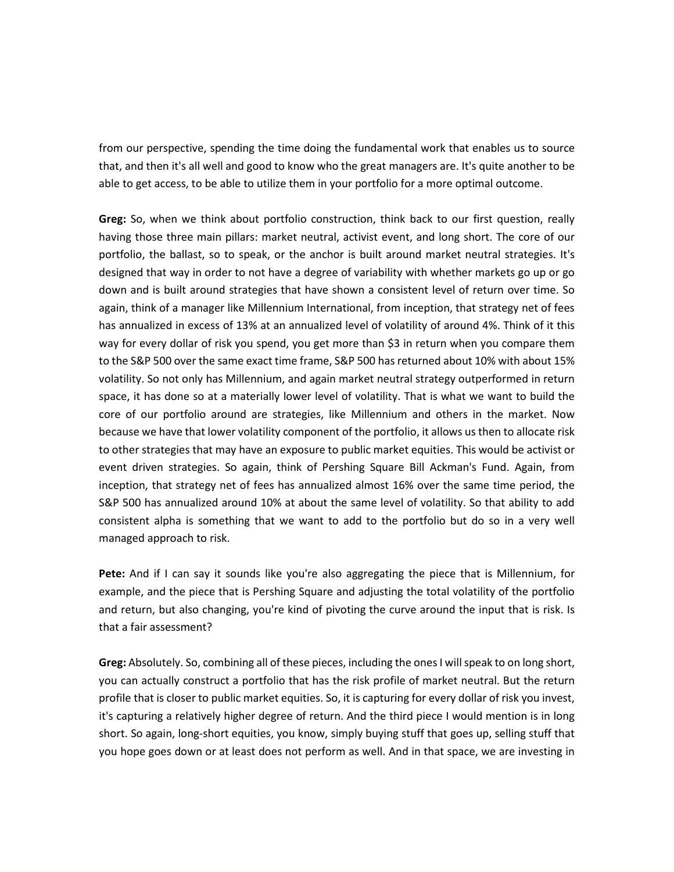from our perspective, spending the time doing the fundamental work that enables us to source that, and then it's all well and good to know who the great managers are. It's quite another to be able to get access, to be able to utilize them in your portfolio for a more optimal outcome.

**Greg:** So, when we think about portfolio construction, think back to our first question, really having those three main pillars: market neutral, activist event, and long short. The core of our portfolio, the ballast, so to speak, or the anchor is built around market neutral strategies. It's designed that way in order to not have a degree of variability with whether markets go up or go down and is built around strategies that have shown a consistent level of return over time. So again, think of a manager like Millennium International, from inception, that strategy net of fees has annualized in excess of 13% at an annualized level of volatility of around 4%. Think of it this way for every dollar of risk you spend, you get more than \$3 in return when you compare them to the S&P 500 over the same exact time frame, S&P 500 has returned about 10% with about 15% volatility. So not only has Millennium, and again market neutral strategy outperformed in return space, it has done so at a materially lower level of volatility. That is what we want to build the core of our portfolio around are strategies, like Millennium and others in the market. Now because we have that lower volatility component of the portfolio, it allows us then to allocate risk to other strategies that may have an exposure to public market equities. This would be activist or event driven strategies. So again, think of Pershing Square Bill Ackman's Fund. Again, from inception, that strategy net of fees has annualized almost 16% over the same time period, the S&P 500 has annualized around 10% at about the same level of volatility. So that ability to add consistent alpha is something that we want to add to the portfolio but do so in a very well managed approach to risk.

**Pete:** And if I can say it sounds like you're also aggregating the piece that is Millennium, for example, and the piece that is Pershing Square and adjusting the total volatility of the portfolio and return, but also changing, you're kind of pivoting the curve around the input that is risk. Is that a fair assessment?

Greg: Absolutely. So, combining all of these pieces, including the ones I will speak to on long short, you can actually construct a portfolio that has the risk profile of market neutral. But the return profile that is closer to public market equities. So, it is capturing for every dollar of risk you invest, it's capturing a relatively higher degree of return. And the third piece I would mention is in long short. So again, long-short equities, you know, simply buying stuff that goes up, selling stuff that you hope goes down or at least does not perform as well. And in that space, we are investing in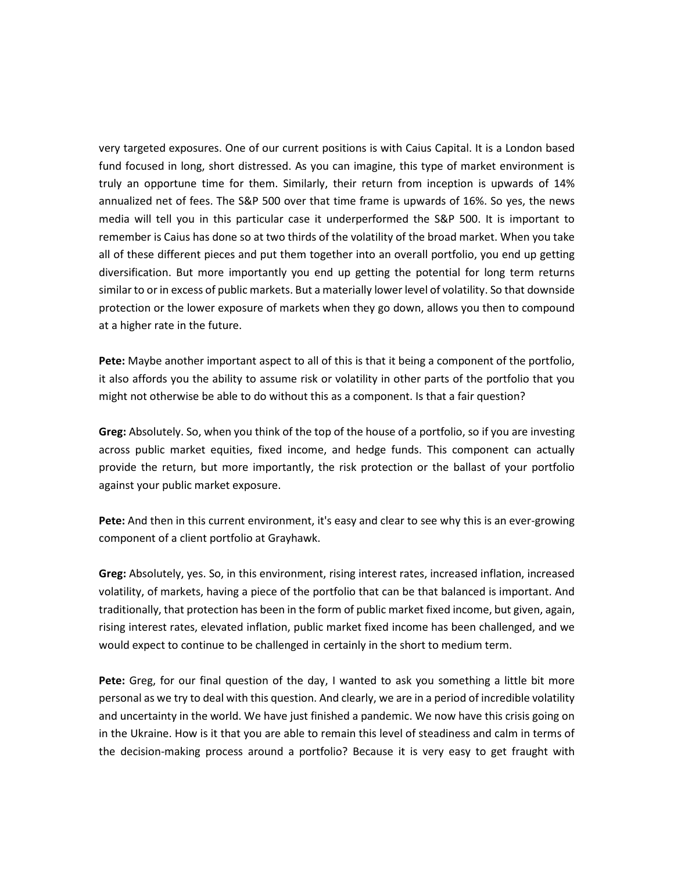very targeted exposures. One of our current positions is with Caius Capital. It is a London based fund focused in long, short distressed. As you can imagine, this type of market environment is truly an opportune time for them. Similarly, their return from inception is upwards of 14% annualized net of fees. The S&P 500 over that time frame is upwards of 16%. So yes, the news media will tell you in this particular case it underperformed the S&P 500. It is important to remember is Caius has done so at two thirds of the volatility of the broad market. When you take all of these different pieces and put them together into an overall portfolio, you end up getting diversification. But more importantly you end up getting the potential for long term returns similar to or in excess of public markets. But a materially lower level of volatility. So that downside protection or the lower exposure of markets when they go down, allows you then to compound at a higher rate in the future.

**Pete:** Maybe another important aspect to all of this is that it being a component of the portfolio, it also affords you the ability to assume risk or volatility in other parts of the portfolio that you might not otherwise be able to do without this as a component. Is that a fair question?

**Greg:** Absolutely. So, when you think of the top of the house of a portfolio, so if you are investing across public market equities, fixed income, and hedge funds. This component can actually provide the return, but more importantly, the risk protection or the ballast of your portfolio against your public market exposure.

**Pete:** And then in this current environment, it's easy and clear to see why this is an ever-growing component of a client portfolio at Grayhawk.

**Greg:** Absolutely, yes. So, in this environment, rising interest rates, increased inflation, increased volatility, of markets, having a piece of the portfolio that can be that balanced is important. And traditionally, that protection has been in the form of public market fixed income, but given, again, rising interest rates, elevated inflation, public market fixed income has been challenged, and we would expect to continue to be challenged in certainly in the short to medium term.

**Pete:** Greg, for our final question of the day, I wanted to ask you something a little bit more personal as we try to deal with this question. And clearly, we are in a period of incredible volatility and uncertainty in the world. We have just finished a pandemic. We now have this crisis going on in the Ukraine. How is it that you are able to remain this level of steadiness and calm in terms of the decision-making process around a portfolio? Because it is very easy to get fraught with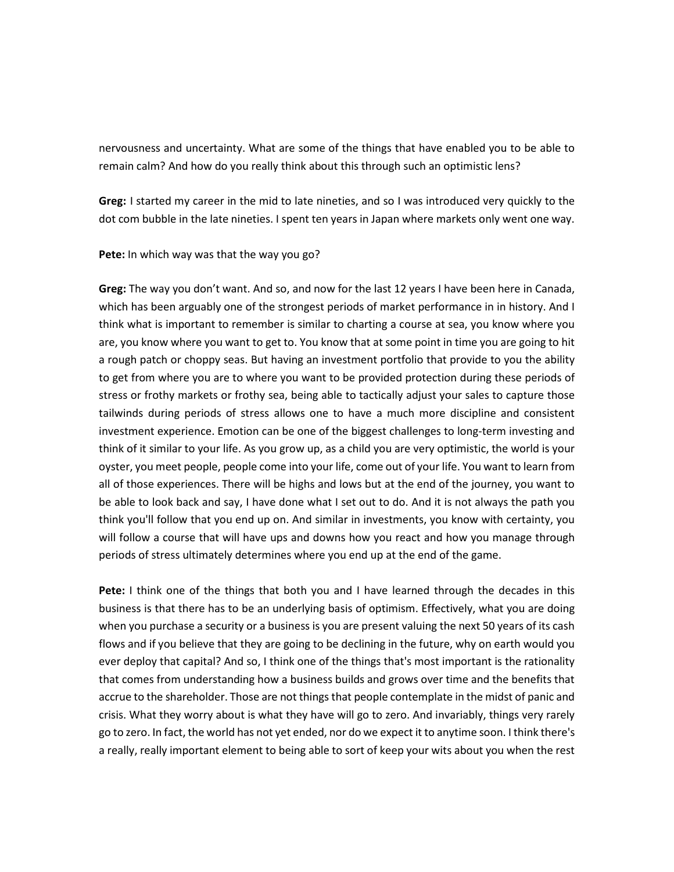nervousness and uncertainty. What are some of the things that have enabled you to be able to remain calm? And how do you really think about this through such an optimistic lens?

**Greg:** I started my career in the mid to late nineties, and so I was introduced very quickly to the dot com bubble in the late nineties. I spent ten years in Japan where markets only went one way.

**Pete:** In which way was that the way you go?

**Greg:** The way you don't want. And so, and now for the last 12 years I have been here in Canada, which has been arguably one of the strongest periods of market performance in in history. And I think what is important to remember is similar to charting a course at sea, you know where you are, you know where you want to get to. You know that at some point in time you are going to hit a rough patch or choppy seas. But having an investment portfolio that provide to you the ability to get from where you are to where you want to be provided protection during these periods of stress or frothy markets or frothy sea, being able to tactically adjust your sales to capture those tailwinds during periods of stress allows one to have a much more discipline and consistent investment experience. Emotion can be one of the biggest challenges to long-term investing and think of it similar to your life. As you grow up, as a child you are very optimistic, the world is your oyster, you meet people, people come into your life, come out of your life. You want to learn from all of those experiences. There will be highs and lows but at the end of the journey, you want to be able to look back and say, I have done what I set out to do. And it is not always the path you think you'll follow that you end up on. And similar in investments, you know with certainty, you will follow a course that will have ups and downs how you react and how you manage through periods of stress ultimately determines where you end up at the end of the game.

**Pete:** I think one of the things that both you and I have learned through the decades in this business is that there has to be an underlying basis of optimism. Effectively, what you are doing when you purchase a security or a business is you are present valuing the next 50 years of its cash flows and if you believe that they are going to be declining in the future, why on earth would you ever deploy that capital? And so, I think one of the things that's most important is the rationality that comes from understanding how a business builds and grows over time and the benefits that accrue to the shareholder. Those are not things that people contemplate in the midst of panic and crisis. What they worry about is what they have will go to zero. And invariably, things very rarely go to zero. In fact, the world has not yet ended, nor do we expect it to anytime soon. I think there's a really, really important element to being able to sort of keep your wits about you when the rest